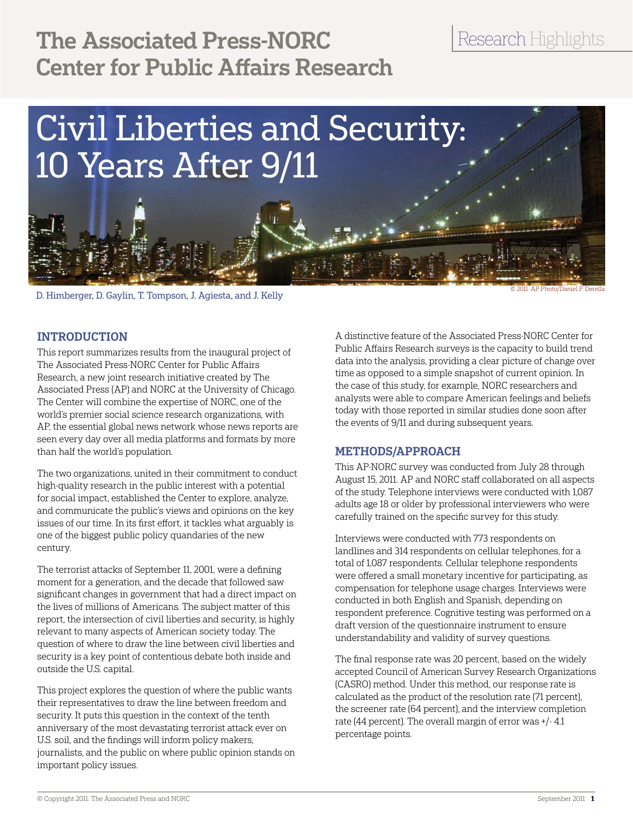# The Associated Press-NORC Center for Public Affairs Research

# Research Highlights



D. Himberger, D. Gaylin, T. Tompson, J. Agiesta, and J. Kelly

© 2011. AP Photo/Daniel P. Derella

## **INTRODUCTION**

This report summarizes results from the inaugural project of The Associated Press-NORC Center for Public Affairs Research, a new joint research initiative created by The Associated Press (AP) and NORC at the University of Chicago. The Center will combine the expertise of NORC, one of the world's premier social science research organizations, with AP, the essential global news network whose news reports are seen every day over all media platforms and formats by more than half the world's population.

The two organizations, united in their commitment to conduct high-quality research in the public interest with a potential for social impact, established the Center to explore, analyze, and communicate the public's views and opinions on the key issues of our time. In its first effort, it tackles what arguably is one of the biggest public policy quandaries of the new century.

The terrorist attacks of September 11, 2001, were a defining moment for a generation, and the decade that followed saw significant changes in government that had a direct impact on the lives of millions of Americans. The subject matter of this report, the intersection of civil liberties and security, is highly relevant to many aspects of American society today. The question of where to draw the line between civil liberties and security is a key point of contentious debate both inside and outside the U.S. capital.

This project explores the question of where the public wants their representatives to draw the line between freedom and security. It puts this question in the context of the tenth anniversary of the most devastating terrorist attack ever on U.S. soil, and the findings will inform policy makers, journalists, and the public on where public opinion stands on important policy issues.

A distinctive feature of the Associated Press-NORC Center for Public Affairs Research surveys is the capacity to build trend data into the analysis, providing a clear picture of change over time as opposed to a simple snapshot of current opinion. In the case of this study, for example, NORC researchers and analysts were able to compare American feelings and beliefs today with those reported in similar studies done soon after the events of 9/11 and during subsequent years.

# Methods/Approach

This AP-NORC survey was conducted from July 28 through August 15, 2011. AP and NORC staff collaborated on all aspects of the study. Telephone interviews were conducted with 1,087 adults age 18 or older by professional interviewers who were carefully trained on the specific survey for this study.

Interviews were conducted with 773 respondents on landlines and 314 respondents on cellular telephones, for a total of 1,087 respondents. Cellular telephone respondents were offered a small monetary incentive for participating, as compensation for telephone usage charges. Interviews were conducted in both English and Spanish, depending on respondent preference. Cognitive testing was performed on a draft version of the questionnaire instrument to ensure understandability and validity of survey questions.

The final response rate was 20 percent, based on the widely accepted Council of American Survey Research Organizations (CASRO) method. Under this method, our response rate is calculated as the product of the resolution rate (71 percent), the screener rate (64 percent), and the interview completion rate (44 percent). The overall margin of error was +/- 4.1 percentage points.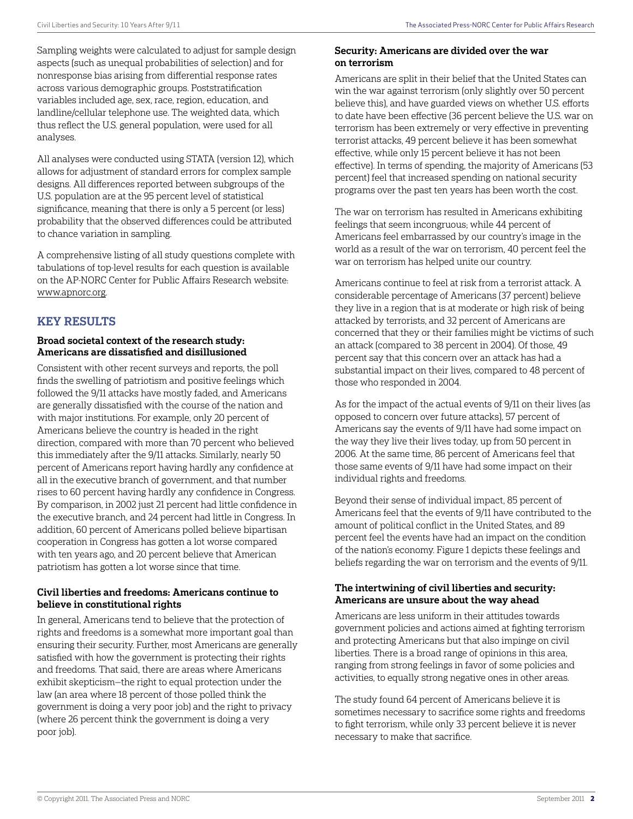Sampling weights were calculated to adjust for sample design aspects (such as unequal probabilities of selection) and for nonresponse bias arising from differential response rates across various demographic groups. Poststratification variables included age, sex, race, region, education, and landline/cellular telephone use. The weighted data, which thus reflect the U.S. general population, were used for all analyses.

All analyses were conducted using STATA (version 12), which allows for adjustment of standard errors for complex sample designs. All differences reported between subgroups of the U.S. population are at the 95 percent level of statistical significance, meaning that there is only a 5 percent (or less) probability that the observed differences could be attributed to chance variation in sampling.

A comprehensive listing of all study questions complete with tabulations of top-level results for each question is available on the AP-NORC Center for Public Affairs Research website: www.apnorc.org.

# Key Results

### Broad societal context of the research study: Americans are dissatisfied and disillusioned

Consistent with other recent surveys and reports, the poll finds the swelling of patriotism and positive feelings which followed the 9/11 attacks have mostly faded, and Americans are generally dissatisfied with the course of the nation and with major institutions. For example, only 20 percent of Americans believe the country is headed in the right direction, compared with more than 70 percent who believed this immediately after the 9/11 attacks. Similarly, nearly 50 percent of Americans report having hardly any confidence at all in the executive branch of government, and that number rises to 60 percent having hardly any confidence in Congress. By comparison, in 2002 just 21 percent had little confidence in the executive branch, and 24 percent had little in Congress. In addition, 60 percent of Americans polled believe bipartisan cooperation in Congress has gotten a lot worse compared with ten years ago, and 20 percent believe that American patriotism has gotten a lot worse since that time.

#### Civil liberties and freedoms: Americans continue to believe in constitutional rights

In general, Americans tend to believe that the protection of rights and freedoms is a somewhat more important goal than ensuring their security. Further, most Americans are generally satisfied with how the government is protecting their rights and freedoms. That said, there are areas where Americans exhibit skepticism—the right to equal protection under the law (an area where 18 percent of those polled think the government is doing a very poor job) and the right to privacy (where 26 percent think the government is doing a very poor job).

#### Security: Americans are divided over the war on terrorism

Americans are split in their belief that the United States can win the war against terrorism (only slightly over 50 percent believe this), and have guarded views on whether U.S. efforts to date have been effective (36 percent believe the U.S. war on terrorism has been extremely or very effective in preventing terrorist attacks, 49 percent believe it has been somewhat effective, while only 15 percent believe it has not been effective). In terms of spending, the majority of Americans (53 percent) feel that increased spending on national security programs over the past ten years has been worth the cost.

The war on terrorism has resulted in Americans exhibiting feelings that seem incongruous; while 44 percent of Americans feel embarrassed by our country's image in the world as a result of the war on terrorism, 40 percent feel the war on terrorism has helped unite our country.

Americans continue to feel at risk from a terrorist attack. A considerable percentage of Americans (37 percent) believe they live in a region that is at moderate or high risk of being attacked by terrorists, and 32 percent of Americans are concerned that they or their families might be victims of such an attack (compared to 38 percent in 2004). Of those, 49 percent say that this concern over an attack has had a substantial impact on their lives, compared to 48 percent of those who responded in 2004.

As for the impact of the actual events of 9/11 on their lives (as opposed to concern over future attacks), 57 percent of Americans say the events of 9/11 have had some impact on the way they live their lives today, up from 50 percent in 2006. At the same time, 86 percent of Americans feel that those same events of 9/11 have had some impact on their individual rights and freedoms.

Beyond their sense of individual impact, 85 percent of Americans feel that the events of 9/11 have contributed to the amount of political conflict in the United States, and 89 percent feel the events have had an impact on the condition of the nation's economy. Figure 1 depicts these feelings and beliefs regarding the war on terrorism and the events of 9/11.

#### The intertwining of civil liberties and security: Americans are unsure about the way ahead

Americans are less uniform in their attitudes towards government policies and actions aimed at fighting terrorism and protecting Americans but that also impinge on civil liberties. There is a broad range of opinions in this area, ranging from strong feelings in favor of some policies and activities, to equally strong negative ones in other areas.

The study found 64 percent of Americans believe it is sometimes necessary to sacrifice some rights and freedoms to fight terrorism, while only 33 percent believe it is never necessary to make that sacrifice.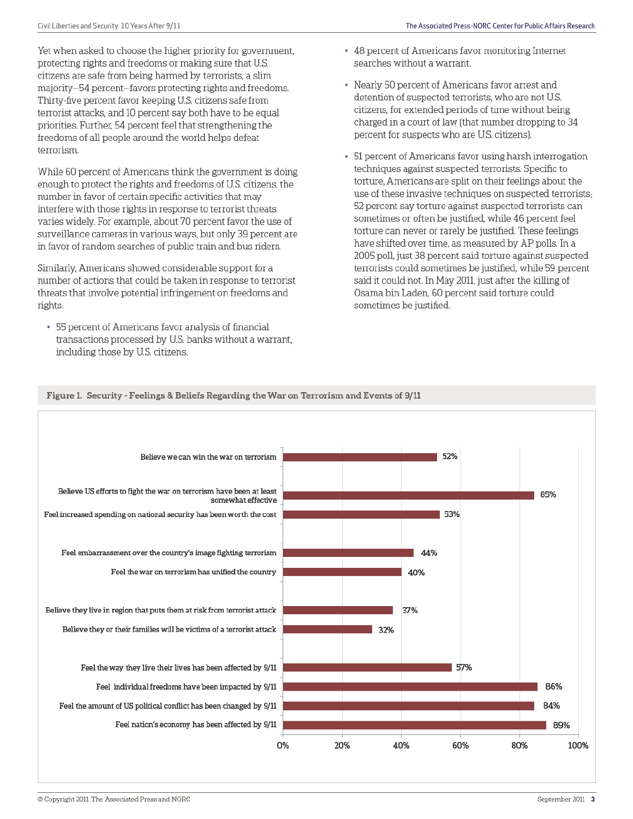Yet when asked to choose the higher priority for government, protecting rights and freedoms or making sure that U.S. citizens are safe from being harmed by terrorists, a slim majority-54 percent-favors protecting rights and freedoms. Thirty-five percent favor keeping U.S. citizens safe from terrorist attacks, and 10 percent say both have to be equal priorities. Further, 54 percent feel that strengthening the freedoms of all people around the world helps defeat terrorism.

While 60 percent of Americans think the government is doing enough to protect the rights and freedoms of U.S. citizens, the number in favor of certain specific activities that may interfere with those rights in response to terrorist threats varies widely. For example, about 70 percent favor the use of surveillance cameras in various ways, but only 39 percent are in favor of random searches of public train and bus riders.

Similarly, Americans showed considerable support for a number of actions that could be taken in response to terrorist threats that involve potential infringement on freedoms and rights:

• 55 percent of Americans favor analysis of financial transactions processed by U.S. banks without a warrant, including those by U.S. citizens.

- 48 percent of Americans favor monitoring Internet searches without a warrant.
- Nearly 50 percent of Americans favor arrest and detention of suspected terrorists, who are not U.S. citizens, for extended periods of time without being charged in a court of law (that number dropping to 34 percent for suspects who are U.S. citizens).
- 51 percent of Americans favor using harsh interrogation techniques against suspected terrorists. Specific to torture, Americans are split on their feelings about the use of these invasive techniques on suspected terrorists; 52 percent say torture against suspected terrorists can sometimes or often be justified, while 46 percent feel torture can never or rarely be justified. These feelings have shifted over time, as measured by AP polls. In a 2005 poll, just 38 percent said torture against suspected terrorists could sometimes be justified, while 59 percent said it could not. In May 2011, just after the killing of Osama bin Laden, 60 percent said torture could sometimes be justified.



#### Figure 1. Security - Feelings & Beliefs Regarding the War on Terrorism and Events of 9/11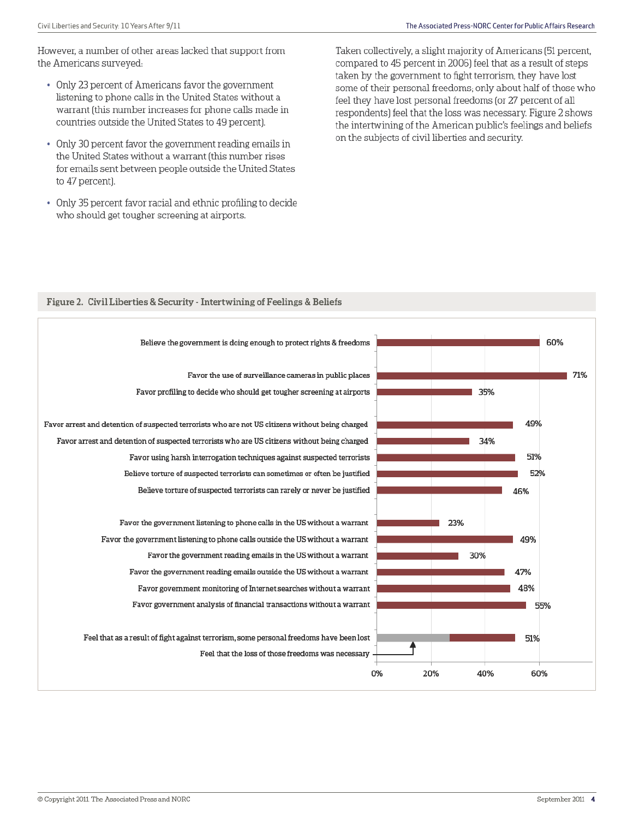However, a number of other areas lacked that support from the Americans surveyed:

- Only 23 percent of Americans favor the government listening to phone calls in the United States without a warrant (this number increases for phone calls made in countries outside the United States to 49 percent).
- Only 30 percent favor the government reading emails in the United States without a warrant (this number rises for emails sent between people outside the United States to 47 percent).
- Only 35 percent favor racial and ethnic profiling to decide who should get tougher screening at airports.

Taken collectively, a slight majority of Americans (51 percent, compared to 45 percent in 2006) feel that as a result of steps taken by the government to fight terrorism, they have lost some of their personal freedoms; only about half of those who feel they have lost personal freedoms (or 27 percent of all respondents) feel that the loss was necessary. Figure 2 shows the intertwining of the American public's feelings and beliefs on the subjects of civil liberties and security.

#### Figure 2. Civil Liberties & Security - Intertwining of Feelings & Beliefs

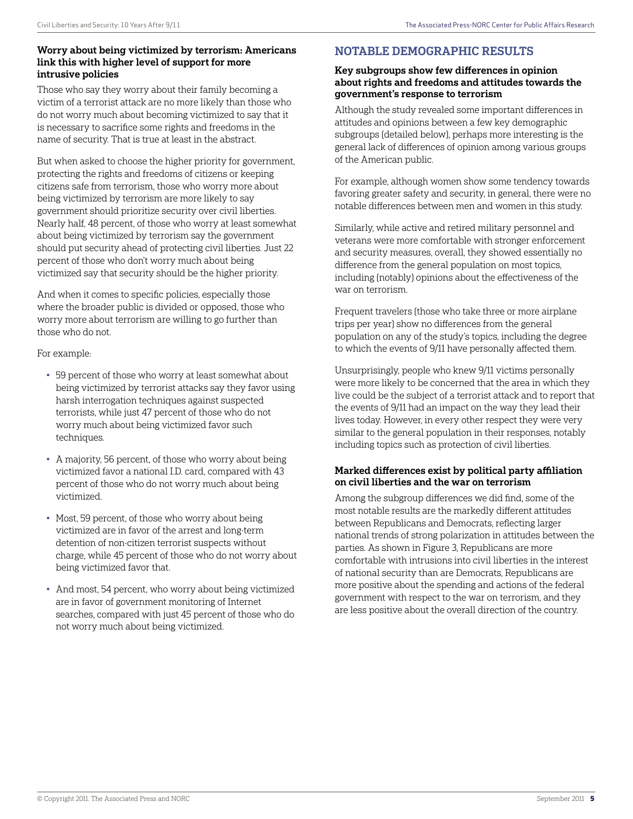#### Worry about being victimized by terrorism: Americans link this with higher level of support for more intrusive policies

Those who say they worry about their family becoming a victim of a terrorist attack are no more likely than those who do not worry much about becoming victimized to say that it is necessary to sacrifice some rights and freedoms in the name of security. That is true at least in the abstract.

But when asked to choose the higher priority for government, protecting the rights and freedoms of citizens or keeping citizens safe from terrorism, those who worry more about being victimized by terrorism are more likely to say government should prioritize security over civil liberties. Nearly half, 48 percent, of those who worry at least somewhat about being victimized by terrorism say the government should put security ahead of protecting civil liberties. Just 22 percent of those who don't worry much about being victimized say that security should be the higher priority.

And when it comes to specific policies, especially those where the broader public is divided or opposed, those who worry more about terrorism are willing to go further than those who do not.

For example:

- 59 percent of those who worry at least somewhat about being victimized by terrorist attacks say they favor using harsh interrogation techniques against suspected terrorists, while just 47 percent of those who do not worry much about being victimized favor such techniques.
- A majority, 56 percent, of those who worry about being victimized favor a national I.D. card, compared with 43 percent of those who do not worry much about being victimized.
- Most, 59 percent, of those who worry about being victimized are in favor of the arrest and long-term detention of non-citizen terrorist suspects without charge, while 45 percent of those who do not worry about being victimized favor that.
- And most, 54 percent, who worry about being victimized are in favor of government monitoring of Internet searches, compared with just 45 percent of those who do not worry much about being victimized.

# Notable Demographic Results

#### Key subgroups show few differences in opinion about rights and freedoms and attitudes towards the government's response to terrorism

Although the study revealed some important differences in attitudes and opinions between a few key demographic subgroups (detailed below), perhaps more interesting is the general lack of differences of opinion among various groups of the American public.

For example, although women show some tendency towards favoring greater safety and security, in general, there were no notable differences between men and women in this study.

Similarly, while active and retired military personnel and veterans were more comfortable with stronger enforcement and security measures, overall, they showed essentially no difference from the general population on most topics, including (notably) opinions about the effectiveness of the war on terrorism.

Frequent travelers (those who take three or more airplane trips per year) show no differences from the general population on any of the study's topics, including the degree to which the events of 9/11 have personally affected them.

Unsurprisingly, people who knew 9/11 victims personally were more likely to be concerned that the area in which they live could be the subject of a terrorist attack and to report that the events of 9/11 had an impact on the way they lead their lives today. However, in every other respect they were very similar to the general population in their responses, notably including topics such as protection of civil liberties.

#### Marked differences exist by political party affiliation on civil liberties and the war on terrorism

Among the subgroup differences we did find, some of the most notable results are the markedly different attitudes between Republicans and Democrats, reflecting larger national trends of strong polarization in attitudes between the parties. As shown in Figure 3, Republicans are more comfortable with intrusions into civil liberties in the interest of national security than are Democrats, Republicans are more positive about the spending and actions of the federal government with respect to the war on terrorism, and they are less positive about the overall direction of the country.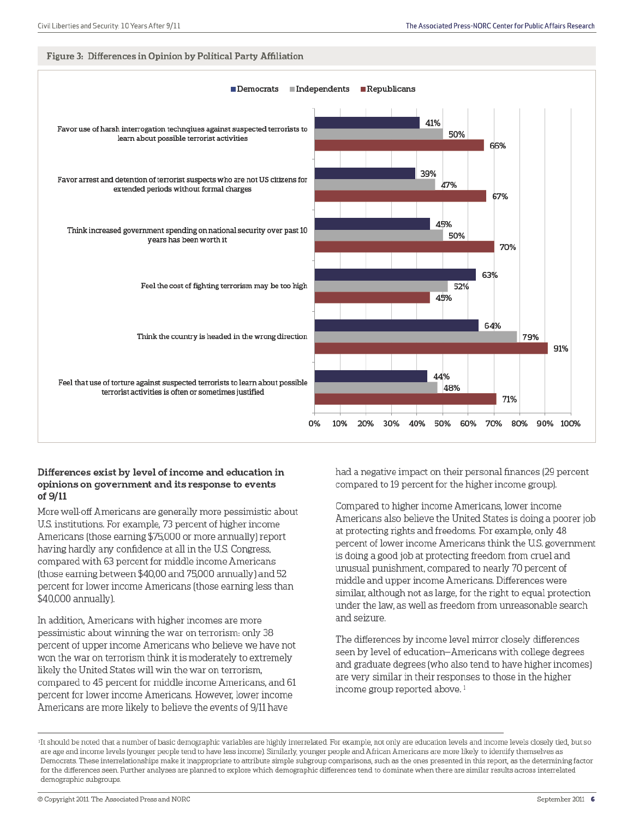#### Figure 3: Differences in Opinion by Political Party Affiliation



#### Differences exist by level of income and education in opinions on government and its response to events of 9/11

More well-off Americans are generally more pessimistic about U.S. institutions. For example, 73 percent of higher income Americans (those earning \$75,000 or more annually) report having hardly any confidence at all in the U.S. Congress, compared with 63 percent for middle income Americans (those earning between \$40,00 and 75,000 annually) and 52 percent for lower income Americans (those earning less than \$40,000 annually).

In addition, Americans with higher incomes are more pessimistic about winning the war on terrorism. only 38 percent of upper income Americans who believe we have not won the war on terrorism think it is moderately to extremely likely the United States will win the war on terrorism, compared to 45 percent for middle income Americans, and 61 percent for lower income Americans. However, lower income Americans are more likely to believe the events of 9/11 have

had a negative impact on their personal finances (29 percent compared to 19 percent for the higher income group).

Compared to higher income Americans, lower income Americans also believe the United States is doing a poorer job at protecting rights and freedoms. For example, only 48 percent of lower income Americans think the U.S. government is doing a good job at protecting freedom from cruel and unusual punishment, compared to nearly 70 percent of middle and upper income Americans. Differences were similar, although not as large, for the right to equal protection under the law, as well as freedom from unreasonable search and seizure.

The differences by income level mirror closely differences seen by level of education–Americans with college degrees and graduate degrees (who also tend to have higher incomes) are very similar in their responses to those in the higher income group reported above.<sup>1</sup>

<sup>&</sup>lt;sup>1</sup>It should be noted that a number of basic demographic variables are highly interrelated. For example, not only are education levels and income levels closely tied, but so are age and income levels (younger people tend to have less income). Similarly, younger people and African Americans are more likely to identify themselves as Democrats. These interrelationships make it inappropriate to attribute simple subgroup comparisons, such as the ones presented in this report, as the determining factor for the differences seen. Further analyses are planned to explore which demographic differences tend to dominate when there are similar results across interrelated demographic subgroups.